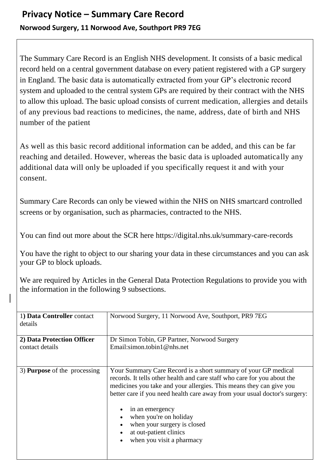## **Privacy Notice – Summary Care Record Norwood Surgery, 11 Norwood Ave, Southport PR9 7EG**

The Summary Care Record is an English NHS development. It consists of a basic medical record held on a central government database on every patient registered with a GP surgery in England. The basic data is automatically extracted from your GP's electronic record system and uploaded to the central system GPs are required by their contract with the NHS to allow this upload. The basic upload consists of current medication, allergies and details of any previous bad reactions to medicines, the name, address, date of birth and NHS number of the patient

As well as this basic record additional information can be added, and this can be far reaching and detailed. However, whereas the basic data is uploaded automatically any additional data will only be uploaded if you specifically request it and with your consent.

Summary Care Records can only be viewed within the NHS on NHS smartcard controlled screens or by organisation, such as pharmacies, contracted to the NHS.

You can find out more about the SCR here https://digital.nhs.uk/summary-care-records

You have the right to object to our sharing your data in these circumstances and you can ask your GP to block uploads.

We are required by Articles in the General Data Protection Regulations to provide you with the information in the following 9 subsections.

| 1) Data Controller contact<br>details | Norwood Surgery, 11 Norwood Ave, Southport, PR9 7EG                                                                                                                                                                                                                                                                                                                                                                                |
|---------------------------------------|------------------------------------------------------------------------------------------------------------------------------------------------------------------------------------------------------------------------------------------------------------------------------------------------------------------------------------------------------------------------------------------------------------------------------------|
| 2) Data Protection Officer            | Dr Simon Tobin, GP Partner, Norwood Surgery                                                                                                                                                                                                                                                                                                                                                                                        |
| contact details                       | Email: simon.tobin $1@$ nhs.net                                                                                                                                                                                                                                                                                                                                                                                                    |
|                                       |                                                                                                                                                                                                                                                                                                                                                                                                                                    |
| 3) <b>Purpose</b> of the processing   | Your Summary Care Record is a short summary of your GP medical<br>records. It tells other health and care staff who care for you about the<br>medicines you take and your allergies. This means they can give you<br>better care if you need health care away from your usual doctor's surgery:<br>in an emergency<br>when you're on holiday<br>when your surgery is closed<br>at out-patient clinics<br>when you visit a pharmacy |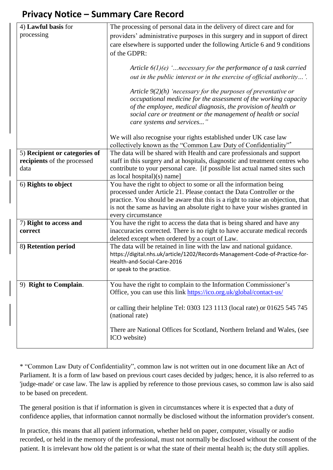## **Privacy Notice – Summary Care Record**

| 4) Lawful basis for           | The processing of personal data in the delivery of direct care and for         |
|-------------------------------|--------------------------------------------------------------------------------|
| processing                    | providers' administrative purposes in this surgery and in support of direct    |
|                               | care elsewhere is supported under the following Article 6 and 9 conditions     |
|                               | of the GDPR:                                                                   |
|                               |                                                                                |
|                               | Article $6(1)(e)$ ' necessary for the performance of a task carried            |
|                               |                                                                                |
|                               | out in the public interest or in the exercise of official authority'.          |
|                               | Article $9(2)(h)$ 'necessary for the purposes of preventative or               |
|                               | occupational medicine for the assessment of the working capacity               |
|                               | of the employee, medical diagnosis, the provision of health or                 |
|                               | social care or treatment or the management of health or social                 |
|                               | care systems and services"                                                     |
|                               |                                                                                |
|                               | We will also recognise your rights established under UK case law               |
|                               | collectively known as the "Common Law Duty of Confidentiality"*                |
| 5) Recipient or categories of | The data will be shared with Health and care professionals and support         |
| recipients of the processed   | staff in this surgery and at hospitals, diagnostic and treatment centres who   |
|                               |                                                                                |
| data                          | contribute to your personal care. [if possible list actual named sites such    |
|                               | as local hospital $(x)$ name]                                                  |
| 6) Rights to object           | You have the right to object to some or all the information being              |
|                               | processed under Article 21. Please contact the Data Controller or the          |
|                               | practice. You should be aware that this is a right to raise an objection, that |
|                               | is not the same as having an absolute right to have your wishes granted in     |
|                               | every circumstance                                                             |
| 7) Right to access and        | You have the right to access the data that is being shared and have any        |
| correct                       | inaccuracies corrected. There is no right to have accurate medical records     |
|                               | deleted except when ordered by a court of Law.                                 |
| 8) Retention period           | The data will be retained in line with the law and national guidance.          |
|                               | https://digital.nhs.uk/article/1202/Records-Management-Code-of-Practice-for-   |
|                               | Health-and-Social-Care-2016                                                    |
|                               | or speak to the practice.                                                      |
|                               |                                                                                |
| 9) Right to Complain.         | You have the right to complain to the Information Commissioner's               |
|                               | Office, you can use this link https://ico.org.uk/global/contact-us/            |
|                               |                                                                                |
|                               | or calling their helpline Tel: 0303 123 1113 (local rate) or 01625 545 745     |
|                               | (national rate)                                                                |
|                               |                                                                                |
|                               | There are National Offices for Scotland, Northern Ireland and Wales, (see      |
|                               | ICO website)                                                                   |
|                               |                                                                                |

\* "Common Law Duty of Confidentiality", common law is not written out in one document like an Act of Parliament. It is a form of law based on previous court cases decided by judges; hence, it is also referred to as 'judge-made' or case law. The law is applied by reference to those previous cases, so common law is also said to be based on precedent.

The general position is that if information is given in circumstances where it is expected that a duty of confidence applies, that information cannot normally be disclosed without the information provider's consent.

In practice, this means that all patient information, whether held on paper, computer, visually or audio recorded, or held in the memory of the professional, must not normally be disclosed without the consent of the patient. It is irrelevant how old the patient is or what the state of their mental health is; the duty still applies.